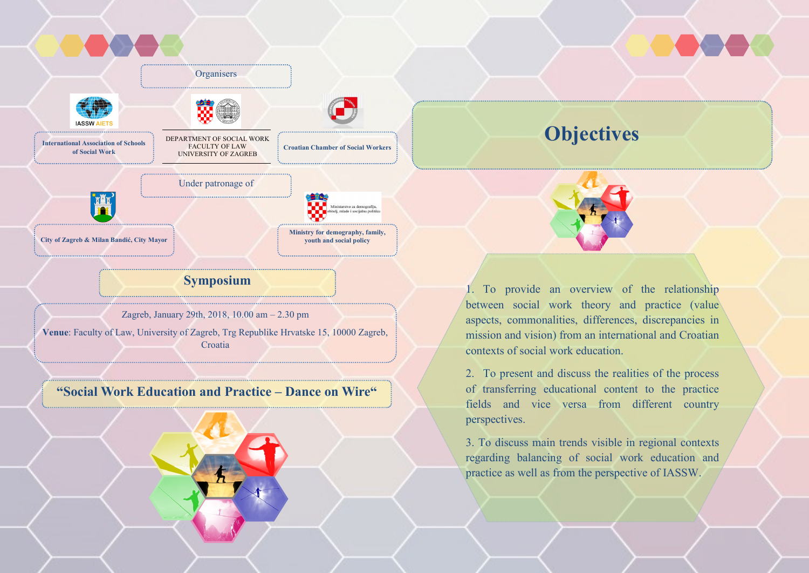**Organisers** 





**International Association of Schools** 



DEPARTMENT OF SOCIAL WORK FACULTY OF LAW UNIVERSITY OF ZAGREB

**of Social Work Croatian Chamber of Social Workers**

#### Under patronage of

Ministarstvo za demografiju,<br>bitelj, mlade i socijalnu politiku

**Ministry for demography, family, youth and social policy**

**City of Zagreb & Milan Bandić, City Mayor**

### **Symposium**

Zagreb, January 29th, 2018, 10.00 am – 2.30 pm **Venue**: Faculty of Law, University of Zagreb, Trg Republike Hrvatske 15, 10000 Zagreb, Croatia

# **"Social Work Education and Practice – Dance on Wire"**

# **Objectives**



1. To provide an overview of the relationship between social work theory and practice (value aspects, commonalities, differences, discrepancies in mission and vision) from an international and Croatian contexts of social work education.

2. To present and discuss the realities of the process of transferring educational content to the practice fields and vice versa from different country perspectives.

3. To discuss main trends visible in regional contexts regarding balancing of social work education and practice as well as from the perspective of IASSW.